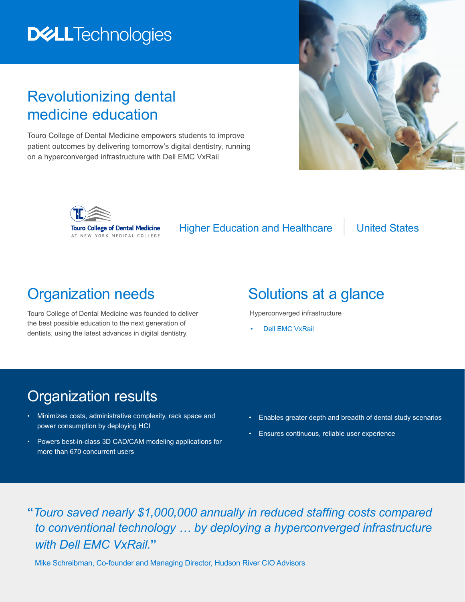# **DELLTechnologies**

### Revolutionizing dental medicine education

Touro College of Dental Medicine empowers students to improve patient outcomes by delivering tomorrow's digital dentistry, running on a hyperconverged infrastructure with Dell EMC VxRail





Higher Education and Healthcare | United States

### Organization needs

Touro College of Dental Medicine was founded to deliver the best possible education to the next generation of dentists, using the latest advances in digital dentistry.

# Solutions at a glance

Hyperconverged infrastructure

**[Dell EMC VxRail](https://www.dellemc.com/en-us/converged-infrastructure/vxrail/index.htm)** 

#### Organization results

- Minimizes costs, administrative complexity, rack space and power consumption by deploying HCI
- Powers best-in-class 3D CAD/CAM modeling applications for more than 670 concurrent users
- Enables greater depth and breadth of dental study scenarios
- Ensures continuous, reliable user experience

**"***Touro saved nearly \$1,000,000 annually in reduced staffing costs compared to conventional technology … by deploying a hyperconverged infrastructure with Dell EMC VxRail.***"**

Mike Schreibman, Co-founder and Managing Director, Hudson River CIO Advisors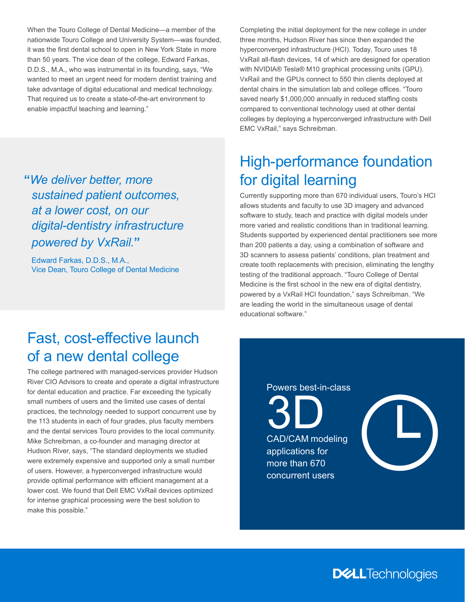When the Touro College of Dental Medicine—a member of the nationwide Touro College and University System—was founded, it was the first dental school to open in New York State in more than 50 years. The vice dean of the college, Edward Farkas, D.D.S., M.A., who was instrumental in its founding, says, "We wanted to meet an urgent need for modern dentist training and take advantage of digital educational and medical technology. That required us to create a state-of-the-art environment to enable impactful teaching and learning."

**"***We deliver better, more sustained patient outcomes, at a lower cost, on our digital-dentistry infrastructure powered by VxRail.***"**

Edward Farkas, D.D.S., M.A., Vice Dean, Touro College of Dental Medicine Completing the initial deployment for the new college in under three months, Hudson River has since then expanded the hyperconverged infrastructure (HCI). Today, Touro uses 18 VxRail all-flash devices, 14 of which are designed for operation with NVIDIA® Tesla® M10 graphical processing units (GPU). VxRail and the GPUs connect to 550 thin clients deployed at dental chairs in the simulation lab and college offices. "Touro saved nearly \$1,000,000 annually in reduced staffing costs compared to conventional technology used at other dental colleges by deploying a hyperconverged infrastructure with Dell EMC VxRail," says Schreibman.

# High-performance foundation for digital learning

Currently supporting more than 670 individual users, Touro's HCI allows students and faculty to use 3D imagery and advanced software to study, teach and practice with digital models under more varied and realistic conditions than in traditional learning. Students supported by experienced dental practitioners see more than 200 patients a day, using a combination of software and 3D scanners to assess patients' conditions, plan treatment and create tooth replacements with precision, eliminating the lengthy testing of the traditional approach. "Touro College of Dental Medicine is the first school in the new era of digital dentistry, powered by a VxRail HCI foundation," says Schreibman. "We are leading the world in the simultaneous usage of dental educational software."

### Fast, cost-effective launch of a new dental college

The college partnered with managed-services provider Hudson River CIO Advisors to create and operate a digital infrastructure for dental education and practice. Far exceeding the typically small numbers of users and the limited use cases of dental practices, the technology needed to support concurrent use by the 113 students in each of four grades, plus faculty members and the dental services Touro provides to the local community. Mike Schreibman, a co-founder and managing director at Hudson River, says, "The standard deployments we studied were extremely expensive and supported only a small number of users. However, a hyperconverged infrastructure would provide optimal performance with efficient management at a lower cost. We found that Dell EMC VxRail devices optimized for intense graphical processing were the best solution to make this possible."

Powers best-in-class

3D CAD/CAM modeling applications for more than 670 concurrent users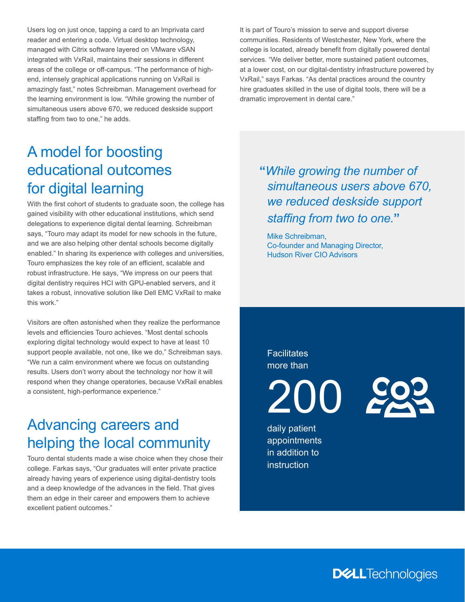Users log on just once, tapping a card to an Imprivata card reader and entering a code. Virtual desktop technology, managed with Citrix software layered on VMware vSAN integrated with VxRail, maintains their sessions in different areas of the college or off-campus. "The performance of highend, intensely graphical applications running on VxRail is amazingly fast," notes Schreibman. Management overhead for the learning environment is low. "While growing the number of simultaneous users above 670, we reduced deskside support staffing from two to one," he adds.

It is part of Touro's mission to serve and support diverse communities. Residents of Westchester, New York, where the college is located, already benefit from digitally powered dental services. "We deliver better, more sustained patient outcomes, at a lower cost, on our digital-dentistry infrastructure powered by VxRail," says Farkas. "As dental practices around the country hire graduates skilled in the use of digital tools, there will be a dramatic improvement in dental care."

# A model for boosting educational outcomes for digital learning

With the first cohort of students to graduate soon, the college has gained visibility with other educational institutions, which send delegations to experience digital dental learning. Schreibman says, "Touro may adapt its model for new schools in the future, and we are also helping other dental schools become digitally enabled." In sharing its experience with colleges and universities, Touro emphasizes the key role of an efficient, scalable and robust infrastructure. He says, "We impress on our peers that digital dentistry requires HCI with GPU-enabled servers, and it takes a robust, innovative solution like Dell EMC VxRail to make this work."

Visitors are often astonished when they realize the performance levels and efficiencies Touro achieves. "Most dental schools exploring digital technology would expect to have at least 10 support people available, not one, like we do," Schreibman says. "We run a calm environment where we focus on outstanding results. Users don't worry about the technology nor how it will respond when they change operatories, because VxRail enables a consistent, high-performance experience."

# Advancing careers and helping the local community

Touro dental students made a wise choice when they chose their college. Farkas says, "Our graduates will enter private practice already having years of experience using digital-dentistry tools and a deep knowledge of the advances in the field. That gives them an edge in their career and empowers them to achieve excellent patient outcomes."

**"***While growing the number of simultaneous users above 670, we reduced deskside support staffing from two to one.***"**

Mike Schreibman, Co-founder and Managing Director, Hudson River CIO Advisors

**Facilitates** more than

200

daily patient appointments in addition to instruction

**DELL**Technologies